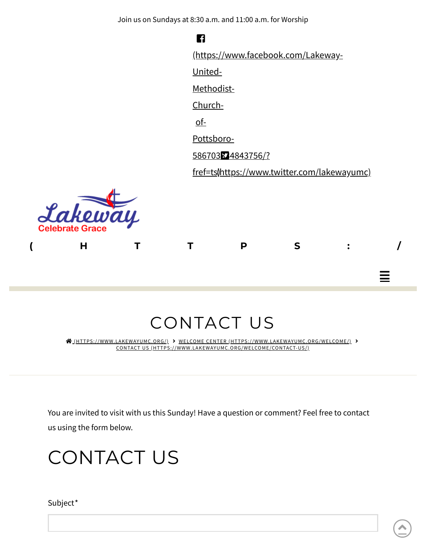Join us on Sundays at 8:30 a.m. and 11:00 a.m. for Worship

**( [H](https://www.lakewayumc.org/) T T P S : /**  $\blacksquare$ [\(https://www.facebook.com/Lakeway-](https://www.facebook.com/Lakeway-United-Methodist-Church-of-Pottsboro-586703834843756/?fref=ts)United-Methodist-Churchof-Pottsboro-586703834843756/? fref=ts) [\(https://www.twitter.com/lakewayumc\)](https://www.twitter.com/lakewayumc)



# CONTACT US

 [\(HTTPS://WWW.LAKEWAYUMC.ORG/\)](https://www.lakewayumc.org/) WELCOME CENTER [\(HTTPS://WWW.LAKEWAYUMC.ORG/WELCOME/\)](https://www.lakewayumc.org/welcome/) CONTACT US [\(HTTPS://WWW.LAKEWAYUMC.ORG/WELCOME/CONTACT-US/\)](https://www.lakewayumc.org/welcome/contact-us/)

You are invited to visit with us this Sunday! Have a question or comment? Feel free to contact us using the form below.

# CONTACT US

Subject\*

≡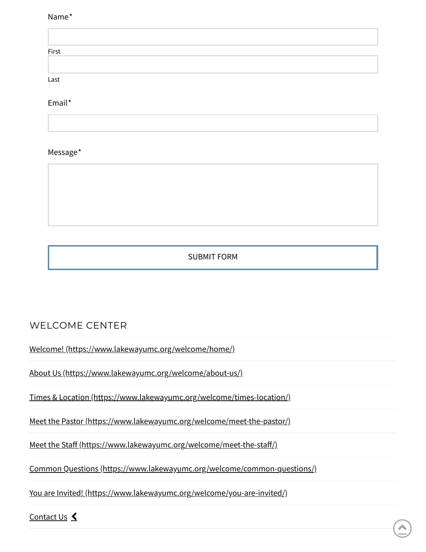#### Name\*

| First |  |  |
|-------|--|--|
|       |  |  |
| Last  |  |  |

Email\*

#### Message\*

SUBMIT FORM

#### WELCOME CENTER

Welcome! [\(https://www.lakewayumc.org/welcome/home/\)](https://www.lakewayumc.org/welcome/home/)

About Us [\(https://www.lakewayumc.org/welcome/about-us/\)](https://www.lakewayumc.org/welcome/about-us/)

Times & Location [\(https://www.lakewayumc.org/welcome/times-location/\)](https://www.lakewayumc.org/welcome/times-location/)

Meet the Pastor [\(https://www.lakewayumc.org/welcome/meet-the-pastor/\)](https://www.lakewayumc.org/welcome/meet-the-pastor/)

Meet the Staff (https://www.lakewayumc.org/welcome/meet-the-staff/)

Common Questions [\(https://www.lakewayumc.org/welcome/common-questions/\)](https://www.lakewayumc.org/welcome/common-questions/)

You are Invited! [\(https://www.lakewayumc.org/welcome/you-are-invited/\)](https://www.lakewayumc.org/welcome/you-are-invited/)

[Contact](https://www.lakewayumc.org/welcome/contact-us/) Us **く**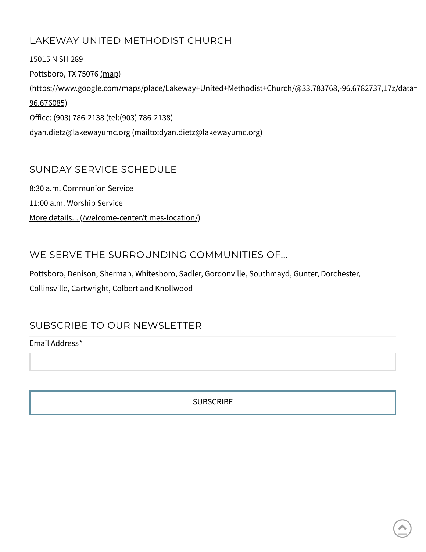#### LAKEWAY UNITED METHODIST CHURCH

15015 N SH 289 Pottsboro, TX 75076 (map) [\(https://www.google.com/maps/place/Lakeway+United+Methodist+Church/@33.783768,-96.6782737,17z/data=](https://www.google.com/maps/place/Lakeway+United+Methodist+Church/@33.783768,-96.6782737,17z/data=!3m1!4b1!4m5!3m4!1s0x864c92372560ad93:0xb6d7677550d392fe!8m2!3d33.783768!4d-96.676085) 96.676085) Office: (903) 786-2138 (tel: (903) [786-2138\)](tel:(903) 786-2138) dyan.dietz@lakewayumc.org [\(mailto:dyan.dietz@lakewayumc.org\)](mailto:dyan.dietz@lakewayumc.org)

#### SUNDAY SERVICE SCHEDULE

8:30 a.m. Communion Service 11:00 a.m. Worship Service More details... [\(/welcome-center/times-location/\)](https://www.lakewayumc.org/welcome-center/times-location/)

#### WE SERVE THE SURROUNDING COMMUNITIES OF...

Pottsboro, Denison, Sherman, Whitesboro, Sadler, Gordonville, Southmayd, Gunter, Dorchester, Collinsville, Cartwright, Colbert and Knollwood

#### SUBSCRIBE TO OUR NEWSLETTER

Email Address\*

**SUBSCRIBE**